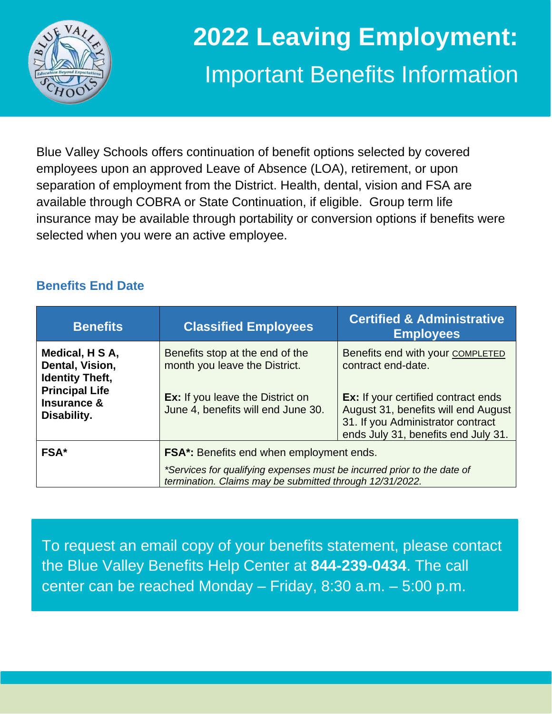

# **2022 Leaving Employment:** Important Benefits Information

Blue Valley Schools offers continuation of benefit options selected by covered employees upon an approved Leave of Absence (LOA), retirement, or upon separation of employment from the District. Health, dental, vision and FSA are available through COBRA or State Continuation, if eligible. Group term life insurance may be available through portability or conversion options if benefits were selected when you were an active employee.

## **Benefits End Date**

| <b>Benefits</b>                                                | <b>Classified Employees</b>                                                                                                         | <b>Certified &amp; Administrative</b><br><b>Employees</b>                                                                                                     |  |
|----------------------------------------------------------------|-------------------------------------------------------------------------------------------------------------------------------------|---------------------------------------------------------------------------------------------------------------------------------------------------------------|--|
| Medical, H S A,<br>Dental, Vision,<br><b>Identity Theft,</b>   | Benefits stop at the end of the<br>month you leave the District.                                                                    | Benefits end with your COMPLETED<br>contract end-date.                                                                                                        |  |
| <b>Principal Life</b><br><b>Insurance &amp;</b><br>Disability. | <b>Ex:</b> If you leave the District on<br>June 4, benefits will end June 30.                                                       | <b>Ex:</b> If your certified contract ends<br>August 31, benefits will end August<br>31. If you Administrator contract<br>ends July 31, benefits end July 31. |  |
| <b>FSA*</b>                                                    | FSA*: Benefits end when employment ends.                                                                                            |                                                                                                                                                               |  |
|                                                                | *Services for qualifying expenses must be incurred prior to the date of<br>termination. Claims may be submitted through 12/31/2022. |                                                                                                                                                               |  |

To request an email copy of your benefits statement, please contact the Blue Valley Benefits Help Center at **844-239-0434**. The call center can be reached Monday – Friday, 8:30 a.m. – 5:00 p.m.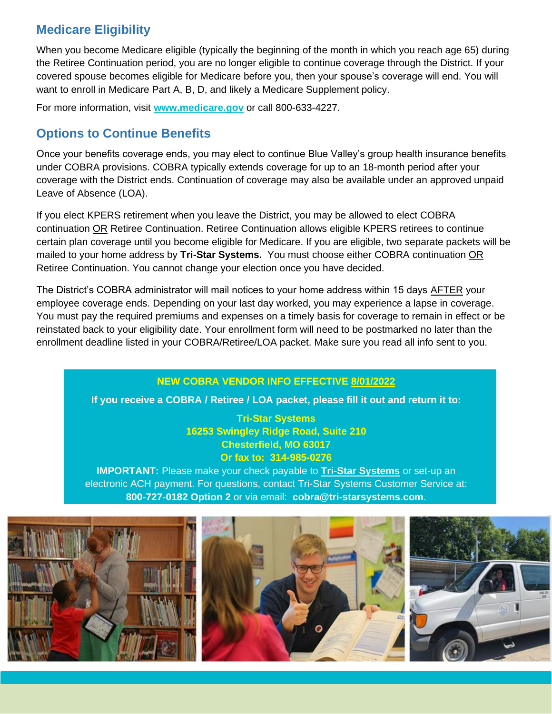## **Medicare Eligibility**

When you become Medicare eligible (typically the beginning of the month in which you reach age 65) during the Retiree Continuation period, you are no longer eligible to continue coverage through the District. If your covered spouse becomes eligible for Medicare before you, then your spouse's coverage will end. You will want to enroll in Medicare Part A, B, D, and likely a Medicare Supplement policy.

For more information, visit **[www.medicare.gov](http://www.medicare.gov/)** or call 800-633-4227.

## **Options to Continue Benefits**

Once your benefits coverage ends, you may elect to continue Blue Valley's group health insurance benefits under COBRA provisions. COBRA typically extends coverage for up to an 18-month period after your coverage with the District ends. Continuation of coverage may also be available under an approved unpaid Leave of Absence (LOA).

If you elect KPERS retirement when you leave the District, you may be allowed to elect COBRA continuation OR Retiree Continuation. Retiree Continuation allows eligible KPERS retirees to continue certain plan coverage until you become eligible for Medicare. If you are eligible, two separate packets will be mailed to your home address by **Tri-Star Systems.** You must choose either COBRA continuation OR Retiree Continuation. You cannot change your election once you have decided.

The District's COBRA administrator will mail notices to your home address within 15 days AFTER your employee coverage ends. Depending on your last day worked, you may experience a lapse in coverage. You must pay the required premiums and expenses on a timely basis for coverage to remain in effect or be reinstated back to your eligibility date. Your enrollment form will need to be postmarked no later than the enrollment deadline listed in your COBRA/Retiree/LOA packet. Make sure you read all info sent to you.

### **NEW COBRA VENDOR INFO EFFECTIVE 8/01/2022**

**If you receive a COBRA / Retiree / LOA packet, please fill it out and return it to:**

**Tri-Star Systems 16253 Swingley Ridge Road, Suite 210 Chesterfield, MO 63017 Or fax to: 314-985-0276**

**IMPORTANT:** Please make your check payable to **Tri-Star Systems** or set-up an electronic ACH payment. For questions, contact Tri-Star Systems Customer Service at: **800-727-0182 Option 2** or via email: **cobra@tri-starsystems.com**.

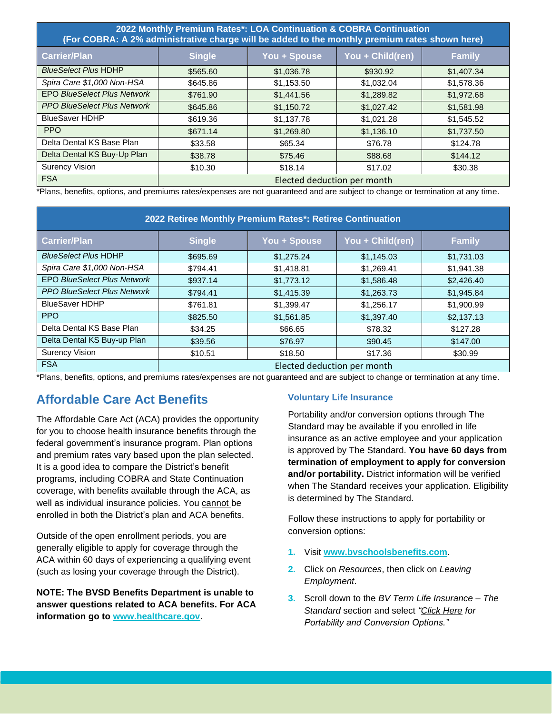| 2022 Monthly Premium Rates*: LOA Continuation & COBRA Continuation<br>(For COBRA: A 2% administrative charge will be added to the monthly premium rates shown here) |                             |              |                  |               |  |  |
|---------------------------------------------------------------------------------------------------------------------------------------------------------------------|-----------------------------|--------------|------------------|---------------|--|--|
| <b>Carrier/Plan</b>                                                                                                                                                 | <b>Single</b>               | You + Spouse | You + Child(ren) | <b>Family</b> |  |  |
| <b>BlueSelect Plus HDHP</b>                                                                                                                                         | \$565.60                    | \$1,036.78   | \$930.92         | \$1,407.34    |  |  |
| Spira Care \$1,000 Non-HSA                                                                                                                                          | \$645.86                    | \$1,153.50   | \$1,032.04       | \$1,578.36    |  |  |
| <b>EPO BlueSelect Plus Network</b>                                                                                                                                  | \$761.90                    | \$1,441.56   | \$1,289.82       | \$1,972.68    |  |  |
| <b>PPO BlueSelect Plus Network</b>                                                                                                                                  | \$645.86                    | \$1,150.72   | \$1,027.42       | \$1,581.98    |  |  |
| <b>BlueSaver HDHP</b>                                                                                                                                               | \$619.36                    | \$1,137.78   | \$1,021.28       | \$1,545.52    |  |  |
| <b>PPO</b>                                                                                                                                                          | \$671.14                    | \$1,269.80   | \$1,136.10       | \$1,737.50    |  |  |
| Delta Dental KS Base Plan                                                                                                                                           | \$33.58                     | \$65.34      | \$76.78          | \$124.78      |  |  |
| Delta Dental KS Buy-Up Plan                                                                                                                                         | \$38.78                     | \$75.46      | \$88.68          | \$144.12      |  |  |
| <b>Surency Vision</b>                                                                                                                                               | \$10.30                     | \$18.14      | \$17.02          | \$30.38       |  |  |
| <b>FSA</b>                                                                                                                                                          | Elected deduction per month |              |                  |               |  |  |

\*Plans, benefits, options, and premiums rates/expenses are not guaranteed and are subject to change or termination at any time.

| 2022 Retiree Monthly Premium Rates*: Retiree Continuation |                             |              |                  |               |  |  |
|-----------------------------------------------------------|-----------------------------|--------------|------------------|---------------|--|--|
| <b>Carrier/Plan</b>                                       | <b>Single</b>               | You + Spouse | You + Child(ren) | <b>Family</b> |  |  |
| <b>BlueSelect Plus HDHP</b>                               | \$695.69                    | \$1,275.24   | \$1,145.03       | \$1,731.03    |  |  |
| Spira Care \$1,000 Non-HSA                                | \$794.41                    | \$1,418.81   | \$1,269.41       | \$1,941.38    |  |  |
| <b>EPO BlueSelect Plus Network</b>                        | \$937.14                    | \$1,773.12   | \$1,586.48       | \$2,426.40    |  |  |
| <b>PPO BlueSelect Plus Network</b>                        | \$794.41                    | \$1,415.39   | \$1,263.73       | \$1,945.84    |  |  |
| <b>BlueSaver HDHP</b>                                     | \$761.81                    | \$1,399.47   | \$1,256.17       | \$1,900.99    |  |  |
| <b>PPO</b>                                                | \$825.50                    | \$1,561.85   | \$1,397.40       | \$2,137.13    |  |  |
| Delta Dental KS Base Plan                                 | \$34.25                     | \$66.65      | \$78.32          | \$127.28      |  |  |
| Delta Dental KS Buy-up Plan                               | \$39.56                     | \$76.97      | \$90.45          | \$147.00      |  |  |
| <b>Surency Vision</b>                                     | \$10.51                     | \$18.50      | \$17.36          | \$30.99       |  |  |
| <b>FSA</b>                                                | Elected deduction per month |              |                  |               |  |  |

\*Plans, benefits, options, and premiums rates/expenses are not guaranteed and are subject to change or termination at any time.

## **Affordable Care Act Benefits**

The Affordable Care Act (ACA) provides the opportunity for you to choose health insurance benefits through the federal government's insurance program. Plan options and premium rates vary based upon the plan selected. It is a good idea to compare the District's benefit programs, including COBRA and State Continuation coverage, with benefits available through the ACA, as well as individual insurance policies. You cannot be enrolled in both the District's plan and ACA benefits.

Outside of the open enrollment periods, you are generally eligible to apply for coverage through the ACA within 60 days of experiencing a qualifying event (such as losing your coverage through the District).

**NOTE: The BVSD Benefits Department is unable to answer questions related to ACA benefits. For ACA information go to [www.healthcare.gov](http://www.healthcare.gov/)**.

#### **Voluntary Life Insurance**

Portability and/or conversion options through The Standard may be available if you enrolled in life insurance as an active employee and your application is approved by The Standard. **You have 60 days from termination of employment to apply for conversion and/or portability.** District information will be verified when The Standard receives your application. Eligibility is determined by The Standard.

Follow these instructions to apply for portability or conversion options:

- **1.** Visit **[www.bvschoolsbenefits.com](http://www.bvschoolsbenefits.com/)**.
- **2.** Click on *Resources*, then click on *Leaving Employment*.
- **3.** Scroll down to the *BV Term Life Insurance – The Standard* section and select *"Click Here for Portability and Conversion Options."*